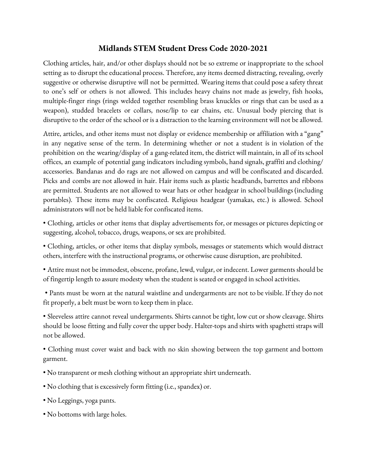## **Midlands STEM Student Dress Code 2020-2021**

Clothing articles, hair, and/or other displays should not be so extreme or inappropriate to the school setting as to disrupt the educational process. Therefore, any items deemed distracting, revealing, overly suggestive or otherwise disruptive will not be permitted. Wearing items that could pose a safety threat to one's self or others is not allowed. This includes heavy chains not made as jewelry, fish hooks, multiple-finger rings (rings welded together resembling brass knuckles or rings that can be used as a weapon), studded bracelets or collars, nose/lip to ear chains, etc. Unusual body piercing that is disruptive to the order of the school or is a distraction to the learning environment will not be allowed.

Attire, articles, and other items must not display or evidence membership or affiliation with a "gang" in any negative sense of the term. In determining whether or not a student is in violation of the prohibition on the wearing/display of a gang-related item, the district will maintain, in all of its school offices, an example of potential gang indicators including symbols, hand signals, graffiti and clothing/ accessories. Bandanas and do rags are not allowed on campus and will be confiscated and discarded. Picks and combs are not allowed in hair. Hair items such as plastic headbands, barrettes and ribbons are permitted. Students are not allowed to wear hats or other headgear in school buildings (including portables). These items may be confiscated. Religious headgear (yamakas, etc.) is allowed. School administrators will not be held liable for confiscated items.

• Clothing, articles or other items that display advertisements for, or messages or pictures depicting or suggesting, alcohol, tobacco, drugs, weapons, or sex are prohibited.

• Clothing, articles, or other items that display symbols, messages or statements which would distract others, interfere with the instructional programs, or otherwise cause disruption, are prohibited.

• Attire must not be immodest, obscene, profane, lewd, vulgar, or indecent. Lower garments should be of fingertip length to assure modesty when the student is seated or engaged in school activities.

• Pants must be worn at the natural waistline and undergarments are not to be visible. If they do not fit properly, a belt must be worn to keep them in place.

• Sleeveless attire cannot reveal undergarments. Shirts cannot be tight, low cut or show cleavage. Shirts should be loose fitting and fully cover the upper body. Halter-topsand shirts with spaghetti straps will not be allowed.

• Clothing must cover waist and back with no skin showing between the top garment and bottom garment.

- No transparent or mesh clothing without an appropriate shirt underneath.
- No clothing that is excessively form fitting (i.e., spandex) or.
- No Leggings, yoga pants.
- No bottoms with large holes.